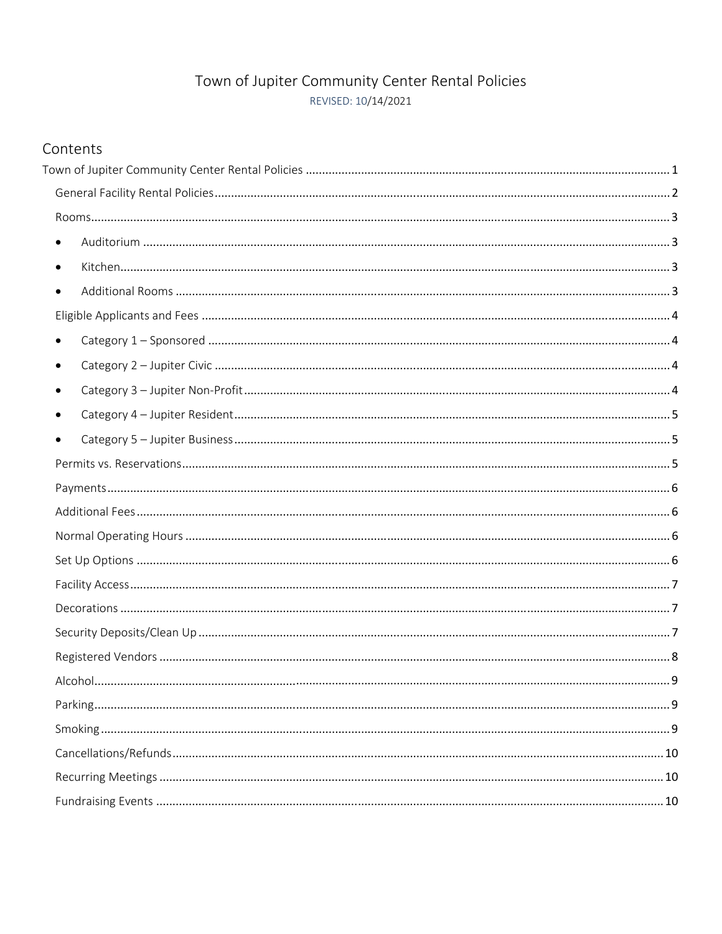# Town of Jupiter Community Center Rental Policies REVISED: 10/14/2021

# Contents

| $\bullet$ |  |
|-----------|--|
| $\bullet$ |  |
|           |  |
|           |  |
| $\bullet$ |  |
| ٠         |  |
|           |  |
|           |  |
|           |  |
|           |  |
|           |  |
|           |  |
|           |  |
|           |  |
|           |  |
|           |  |
|           |  |
|           |  |
|           |  |
|           |  |
|           |  |
|           |  |
|           |  |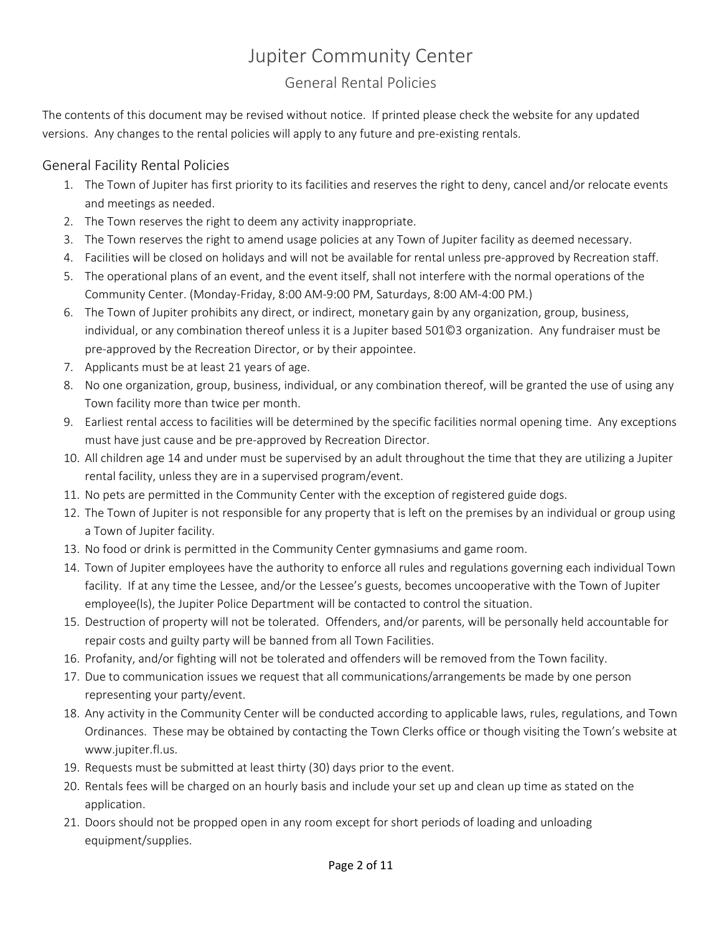# Jupiter Community Center

# General Rental Policies

The contents of this document may be revised without notice. If printed please check the website for any updated versions. Any changes to the rental policies will apply to any future and pre‐existing rentals.

## General Facility Rental Policies

- 1. The Town of Jupiter has first priority to its facilities and reserves the right to deny, cancel and/or relocate events and meetings as needed.
- 2. The Town reserves the right to deem any activity inappropriate.
- 3. The Town reserves the right to amend usage policies at any Town of Jupiter facility as deemed necessary.
- 4. Facilities will be closed on holidays and will not be available for rental unless pre-approved by Recreation staff.
- 5. The operational plans of an event, and the event itself, shall not interfere with the normal operations of the Community Center. (Monday‐Friday, 8:00 AM‐9:00 PM, Saturdays, 8:00 AM‐4:00 PM.)
- 6. The Town of Jupiter prohibits any direct, or indirect, monetary gain by any organization, group, business, individual, or any combination thereof unless it is a Jupiter based 501©3 organization. Any fundraiser must be pre‐approved by the Recreation Director, or by their appointee.
- 7. Applicants must be at least 21 years of age.
- 8. No one organization, group, business, individual, or any combination thereof, will be granted the use of using any Town facility more than twice per month.
- 9. Earliest rental access to facilities will be determined by the specific facilities normal opening time. Any exceptions must have just cause and be pre‐approved by Recreation Director.
- 10. All children age 14 and under must be supervised by an adult throughout the time that they are utilizing a Jupiter rental facility, unless they are in a supervised program/event.
- 11. No pets are permitted in the Community Center with the exception of registered guide dogs.
- 12. The Town of Jupiter is not responsible for any property that is left on the premises by an individual or group using a Town of Jupiter facility.
- 13. No food or drink is permitted in the Community Center gymnasiums and game room.
- 14. Town of Jupiter employees have the authority to enforce all rules and regulations governing each individual Town facility. If at any time the Lessee, and/or the Lessee's guests, becomes uncooperative with the Town of Jupiter employee(ls), the Jupiter Police Department will be contacted to control the situation.
- 15. Destruction of property will not be tolerated. Offenders, and/or parents, will be personally held accountable for repair costs and guilty party will be banned from all Town Facilities.
- 16. Profanity, and/or fighting will not be tolerated and offenders will be removed from the Town facility.
- 17. Due to communication issues we request that all communications/arrangements be made by one person representing your party/event.
- 18. Any activity in the Community Center will be conducted according to applicable laws, rules, regulations, and Town Ordinances. These may be obtained by contacting the Town Clerks office or though visiting the Town's website at www.jupiter.fl.us.
- 19. Requests must be submitted at least thirty (30) days prior to the event.
- 20. Rentals fees will be charged on an hourly basis and include your set up and clean up time as stated on the application.
- 21. Doors should not be propped open in any room except for short periods of loading and unloading equipment/supplies.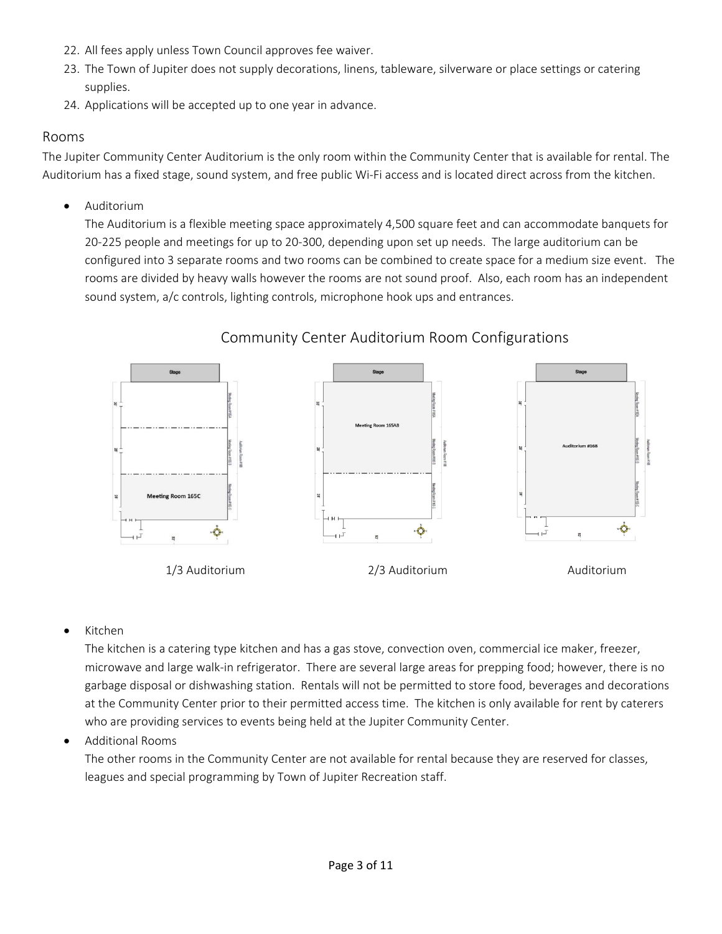- 22. All fees apply unless Town Council approves fee waiver.
- 23. The Town of Jupiter does not supply decorations, linens, tableware, silverware or place settings or catering supplies.
- 24. Applications will be accepted up to one year in advance.

## Rooms

The Jupiter Community Center Auditorium is the only room within the Community Center that is available for rental. The Auditorium has a fixed stage, sound system, and free public Wi‐Fi access and is located direct across from the kitchen.

Auditorium

The Auditorium is a flexible meeting space approximately 4,500 square feet and can accommodate banquets for 20‐225 people and meetings for up to 20‐300, depending upon set up needs. The large auditorium can be configured into 3 separate rooms and two rooms can be combined to create space for a medium size event. The rooms are divided by heavy walls however the rooms are not sound proof. Also, each room has an independent sound system, a/c controls, lighting controls, microphone hook ups and entrances.



# Community Center Auditorium Room Configurations

Kitchen

The kitchen is a catering type kitchen and has a gas stove, convection oven, commercial ice maker, freezer, microwave and large walk‐in refrigerator. There are several large areas for prepping food; however, there is no garbage disposal or dishwashing station. Rentals will not be permitted to store food, beverages and decorations at the Community Center prior to their permitted access time. The kitchen is only available for rent by caterers who are providing services to events being held at the Jupiter Community Center.

Additional Rooms

The other rooms in the Community Center are not available for rental because they are reserved for classes, leagues and special programming by Town of Jupiter Recreation staff.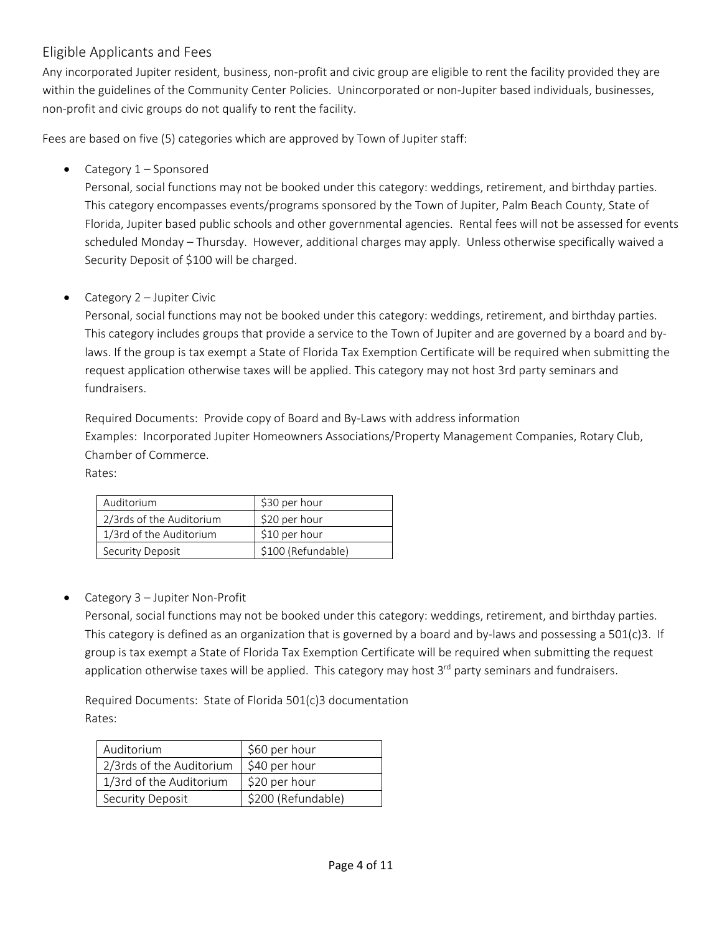## Eligible Applicants and Fees

Any incorporated Jupiter resident, business, non‐profit and civic group are eligible to rent the facility provided they are within the guidelines of the Community Center Policies. Unincorporated or non-Jupiter based individuals, businesses, non‐profit and civic groups do not qualify to rent the facility.

Fees are based on five (5) categories which are approved by Town of Jupiter staff:

• Category 1 – Sponsored

Personal, social functions may not be booked under this category: weddings, retirement, and birthday parties. This category encompasses events/programs sponsored by the Town of Jupiter, Palm Beach County, State of Florida, Jupiter based public schools and other governmental agencies. Rental fees will not be assessed for events scheduled Monday – Thursday. However, additional charges may apply. Unless otherwise specifically waived a Security Deposit of \$100 will be charged.

Category 2 – Jupiter Civic

Personal, social functions may not be booked under this category: weddings, retirement, and birthday parties. This category includes groups that provide a service to the Town of Jupiter and are governed by a board and by‐ laws. If the group is tax exempt a State of Florida Tax Exemption Certificate will be required when submitting the request application otherwise taxes will be applied. This category may not host 3rd party seminars and fundraisers.

Required Documents: Provide copy of Board and By‐Laws with address information Examples: Incorporated Jupiter Homeowners Associations/Property Management Companies, Rotary Club, Chamber of Commerce.

Rates:

| Auditorium               | \$30 per hour      |
|--------------------------|--------------------|
| 2/3rds of the Auditorium | \$20 per hour      |
| 1/3rd of the Auditorium  | \$10 per hour      |
| Security Deposit         | \$100 (Refundable) |

● Category 3 – Jupiter Non-Profit

Personal, social functions may not be booked under this category: weddings, retirement, and birthday parties. This category is defined as an organization that is governed by a board and by-laws and possessing a 501(c)3. If group is tax exempt a State of Florida Tax Exemption Certificate will be required when submitting the request application otherwise taxes will be applied. This category may host  $3<sup>rd</sup>$  party seminars and fundraisers.

Required Documents: State of Florida 501(c)3 documentation Rates:

| Auditorium               | \$60 per hour      |
|--------------------------|--------------------|
| 2/3rds of the Auditorium | \$40 per hour      |
| 1/3rd of the Auditorium  | \$20 per hour      |
| Security Deposit         | \$200 (Refundable) |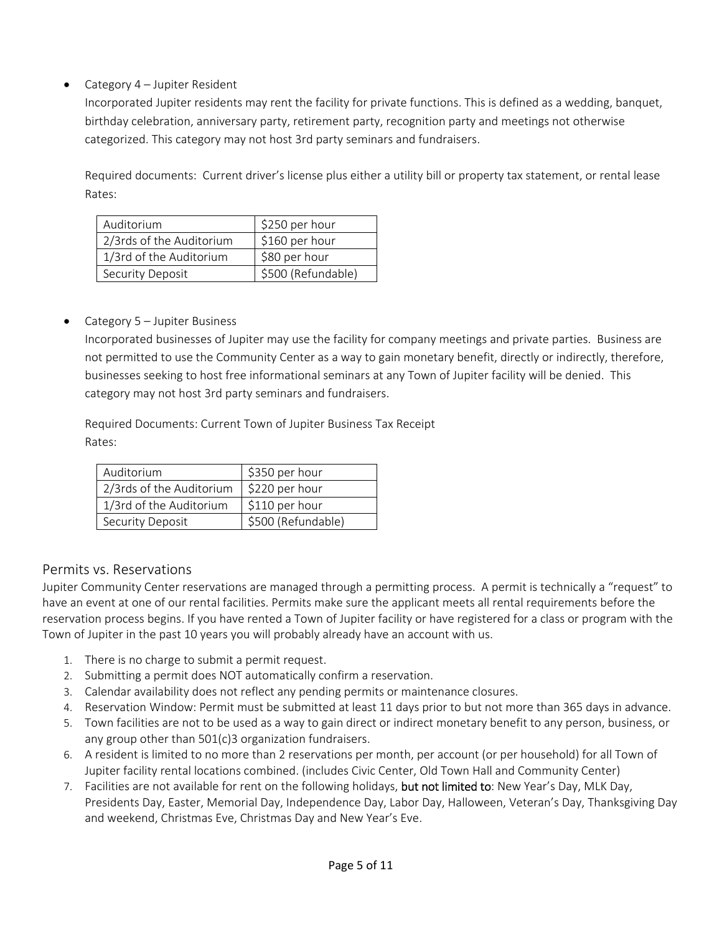## • Category 4 – Jupiter Resident

Incorporated Jupiter residents may rent the facility for private functions. This is defined as a wedding, banquet, birthday celebration, anniversary party, retirement party, recognition party and meetings not otherwise categorized. This category may not host 3rd party seminars and fundraisers.

Required documents: Current driver's license plus either a utility bill or property tax statement, or rental lease Rates:

| Auditorium               | \$250 per hour     |
|--------------------------|--------------------|
| 2/3rds of the Auditorium | \$160 per hour     |
| 1/3rd of the Auditorium  | \$80 per hour      |
| Security Deposit         | \$500 (Refundable) |

#### • Category 5 – Jupiter Business

Incorporated businesses of Jupiter may use the facility for company meetings and private parties. Business are not permitted to use the Community Center as a way to gain monetary benefit, directly or indirectly, therefore, businesses seeking to host free informational seminars at any Town of Jupiter facility will be denied. This category may not host 3rd party seminars and fundraisers.

Required Documents: Current Town of Jupiter Business Tax Receipt Rates:

| Auditorium               | \$350 per hour     |
|--------------------------|--------------------|
| 2/3rds of the Auditorium | \$220 per hour     |
| 1/3rd of the Auditorium  | \$110 per hour     |
| Security Deposit         | \$500 (Refundable) |

#### Permits vs. Reservations

Jupiter Community Center reservations are managed through a permitting process. A permit is technically a "request" to have an event at one of our rental facilities. Permits make sure the applicant meets all rental requirements before the reservation process begins. If you have rented a Town of Jupiter facility or have registered for a class or program with the Town of Jupiter in the past 10 years you will probably already have an account with us.

- 1. There is no charge to submit a permit request.
- 2. Submitting a permit does NOT automatically confirm a reservation.
- 3. Calendar availability does not reflect any pending permits or maintenance closures.
- 4. Reservation Window: Permit must be submitted at least 11 days prior to but not more than 365 days in advance.
- 5. Town facilities are not to be used as a way to gain direct or indirect monetary benefit to any person, business, or any group other than 501(c)3 organization fundraisers.
- 6. A resident is limited to no more than 2 reservations per month, per account (or per household) for all Town of Jupiter facility rental locations combined. (includes Civic Center, Old Town Hall and Community Center)
- 7. Facilities are not available for rent on the following holidays, but not limited to: New Year's Day, MLK Day, Presidents Day, Easter, Memorial Day, Independence Day, Labor Day, Halloween, Veteran's Day, Thanksgiving Day and weekend, Christmas Eve, Christmas Day and New Year's Eve.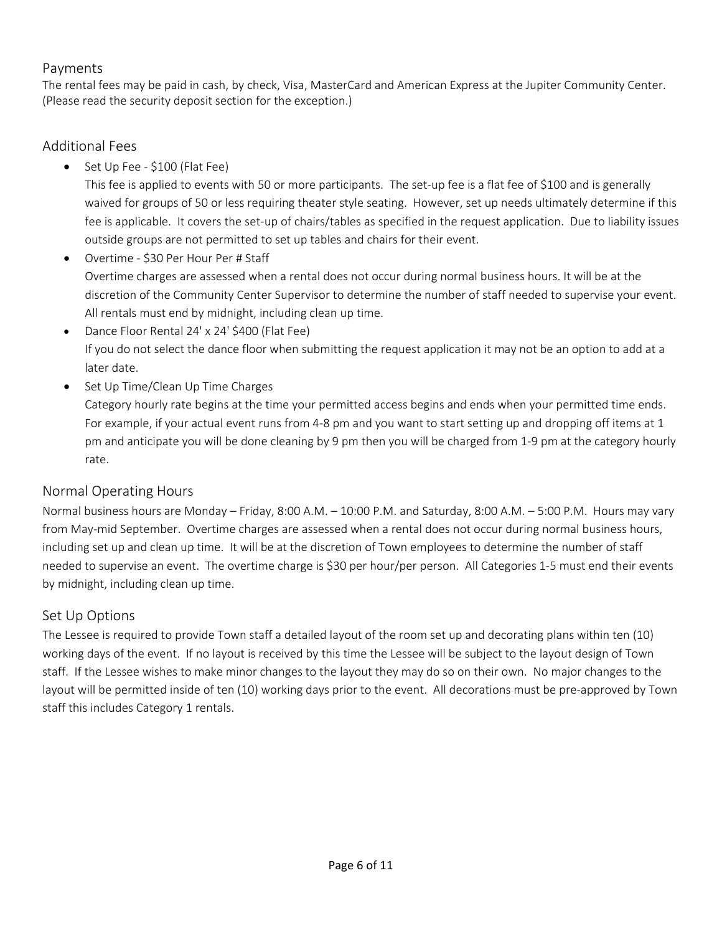## Payments

The rental fees may be paid in cash, by check, Visa, MasterCard and American Express at the Jupiter Community Center. (Please read the security deposit section for the exception.)

## Additional Fees

● Set Up Fee - \$100 (Flat Fee)

This fee is applied to events with 50 or more participants. The set-up fee is a flat fee of \$100 and is generally waived for groups of 50 or less requiring theater style seating. However, set up needs ultimately determine if this fee is applicable. It covers the set‐up of chairs/tables as specified in the request application. Due to liability issues outside groups are not permitted to set up tables and chairs for their event.

- Overtime \$30 Per Hour Per # Staff Overtime charges are assessed when a rental does not occur during normal business hours. It will be at the discretion of the Community Center Supervisor to determine the number of staff needed to supervise your event. All rentals must end by midnight, including clean up time.
- Dance Floor Rental 24' x 24' \$400 (Flat Fee) If you do not select the dance floor when submitting the request application it may not be an option to add at a later date.
- Set Up Time/Clean Up Time Charges

Category hourly rate begins at the time your permitted access begins and ends when your permitted time ends. For example, if your actual event runs from 4-8 pm and you want to start setting up and dropping off items at 1 pm and anticipate you will be done cleaning by 9 pm then you will be charged from 1‐9 pm at the category hourly rate.

## Normal Operating Hours

Normal business hours are Monday – Friday, 8:00 A.M. – 10:00 P.M. and Saturday, 8:00 A.M. – 5:00 P.M. Hours may vary from May-mid September. Overtime charges are assessed when a rental does not occur during normal business hours, including set up and clean up time. It will be at the discretion of Town employees to determine the number of staff needed to supervise an event. The overtime charge is \$30 per hour/per person. All Categories 1‐5 must end their events by midnight, including clean up time.

## Set Up Options

The Lessee is required to provide Town staff a detailed layout of the room set up and decorating plans within ten (10) working days of the event. If no layout is received by this time the Lessee will be subject to the layout design of Town staff. If the Lessee wishes to make minor changes to the layout they may do so on their own. No major changes to the layout will be permitted inside of ten (10) working days prior to the event. All decorations must be pre‐approved by Town staff this includes Category 1 rentals.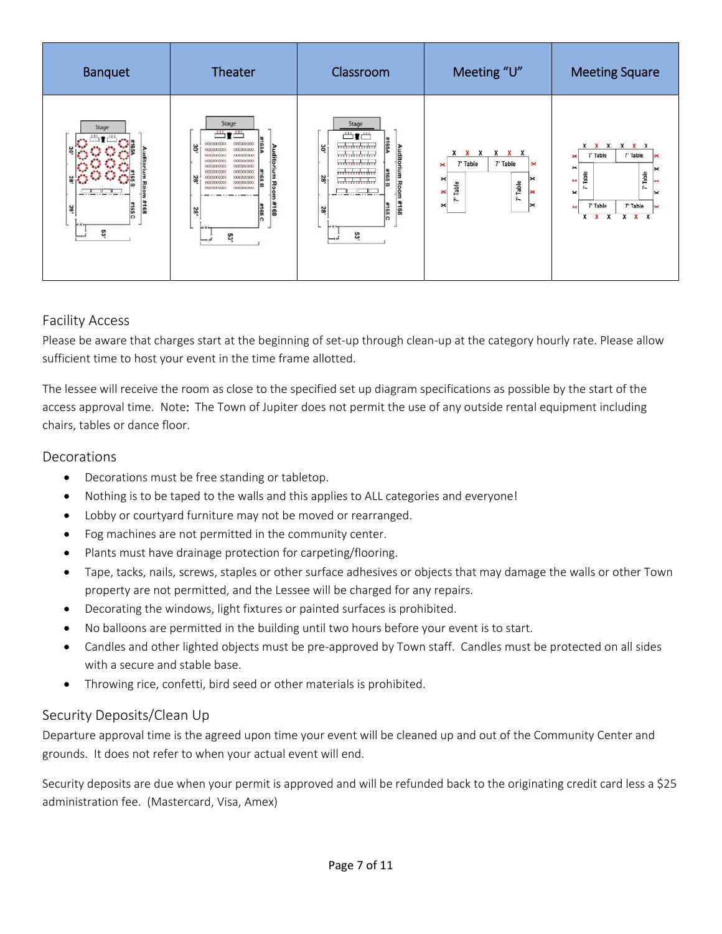| <b>Banquet</b>                         | Theater                                                                                                                                                                                                                                                                                                                                                                             | Classroom                                                                                                                                                                                                                         | Meeting "U"                                                                                                                                                                                            | <b>Meeting Square</b>                                                                                                                                         |
|----------------------------------------|-------------------------------------------------------------------------------------------------------------------------------------------------------------------------------------------------------------------------------------------------------------------------------------------------------------------------------------------------------------------------------------|-----------------------------------------------------------------------------------------------------------------------------------------------------------------------------------------------------------------------------------|--------------------------------------------------------------------------------------------------------------------------------------------------------------------------------------------------------|---------------------------------------------------------------------------------------------------------------------------------------------------------------|
| Stage<br>ь<br>#168<br>#165C<br>23<br>g | Stage<br>$\blacksquare$<br><b>VIOLENCE</b><br>30<br><b>Auditorium</b><br>XXXXXXXXXXX<br><b>KXXXXXXXXXX</b><br>100000000<br>100000000<br>10000000000<br>1000000000<br>10000000000<br><b>VANDOOOOO</b><br>000000000<br><b>INDONEOGO</b><br>100000000<br>28'<br>1000000000<br><b>Room</b><br>1000000000<br>1000000000<br>1000000000<br>1000000000<br>#168<br>$rac{1}{20}$<br>28'<br>ឌូ | Stage<br>$\frac{xxx}{1}$<br>#165A<br>***************<br>30'<br>Audito<br><b>xxxxxxxxxxxxxx</b><br>**************<br>Ē<br>***************<br>#165 <sub>B</sub><br>28<br>***************<br>Ro<br>gп<br>#168<br>#165 C<br>28'<br>53 | X<br>X<br>x<br>$\mathbf x$<br>Х<br>7' Table<br>7' Table<br>$\mathbf{\times}$<br>×<br>⋉<br>$\boldsymbol{\times}$<br>Table<br>Table<br>×<br>×<br>$\tilde{r}$<br>$\ddot{ }$<br>$\boldsymbol{\times}$<br>է | x x x<br>x x x<br>7' Table<br>7' Table<br>×<br>$\times$<br>Īa<br>Table<br>×<br>÷.<br>ĥ<br>$\times$<br>7' Table<br>7' Table<br>×<br>$X$ $X$ $X$<br>$X$ $X$ $X$ |

## Facility Access

Please be aware that charges start at the beginning of set‐up through clean‐up at the category hourly rate. Please allow sufficient time to host your event in the time frame allotted.

The lessee will receive the room as close to the specified set up diagram specifications as possible by the start of the access approval time. Note: The Town of Jupiter does not permit the use of any outside rental equipment including chairs, tables or dance floor.

## **Decorations**

- Decorations must be free standing or tabletop.
- Nothing is to be taped to the walls and this applies to ALL categories and everyone!
- Lobby or courtyard furniture may not be moved or rearranged.
- Fog machines are not permitted in the community center.
- Plants must have drainage protection for carpeting/flooring.
- Tape, tacks, nails, screws, staples or other surface adhesives or objects that may damage the walls or other Town property are not permitted, and the Lessee will be charged for any repairs.
- Decorating the windows, light fixtures or painted surfaces is prohibited.
- No balloons are permitted in the building until two hours before your event is to start.
- Candles and other lighted objects must be pre-approved by Town staff. Candles must be protected on all sides with a secure and stable base.
- Throwing rice, confetti, bird seed or other materials is prohibited.

## Security Deposits/Clean Up

Departure approval time is the agreed upon time your event will be cleaned up and out of the Community Center and grounds. It does not refer to when your actual event will end.

Security deposits are due when your permit is approved and will be refunded back to the originating credit card less a \$25 administration fee. (Mastercard, Visa, Amex)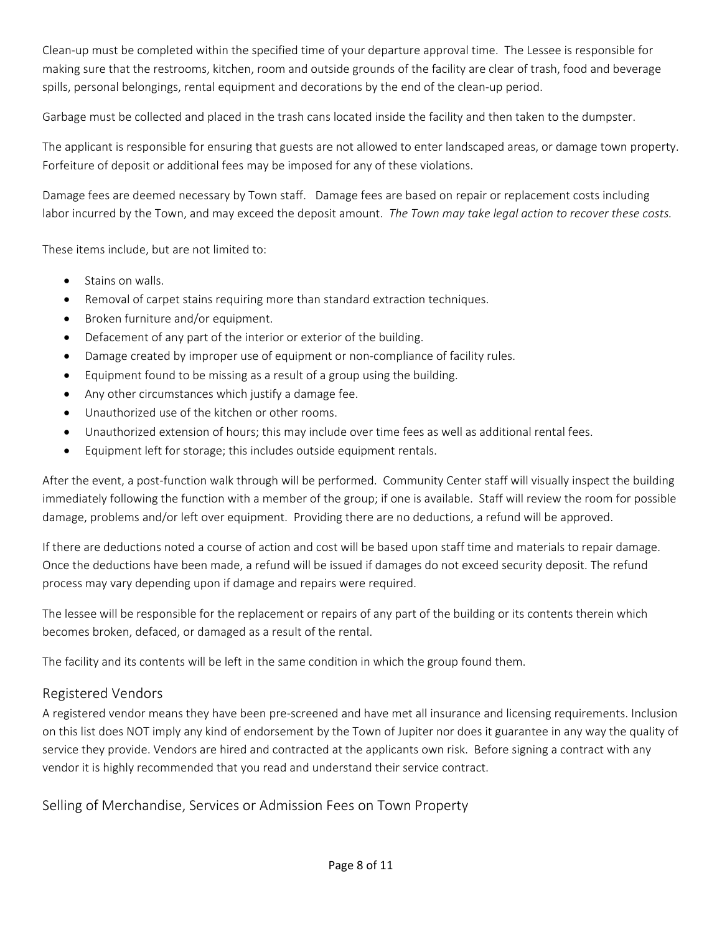Clean‐up must be completed within the specified time of your departure approval time. The Lessee is responsible for making sure that the restrooms, kitchen, room and outside grounds of the facility are clear of trash, food and beverage spills, personal belongings, rental equipment and decorations by the end of the clean-up period.

Garbage must be collected and placed in the trash cans located inside the facility and then taken to the dumpster.

The applicant is responsible for ensuring that guests are not allowed to enter landscaped areas, or damage town property. Forfeiture of deposit or additional fees may be imposed for any of these violations.

Damage fees are deemed necessary by Town staff. Damage fees are based on repair or replacement costs including labor incurred by the Town, and may exceed the deposit amount.  *The Town may take legal action to recover these costs.* 

These items include, but are not limited to:

- Stains on walls.
- Removal of carpet stains requiring more than standard extraction techniques.
- Broken furniture and/or equipment.
- Defacement of any part of the interior or exterior of the building.
- Damage created by improper use of equipment or non‐compliance of facility rules.
- Equipment found to be missing as a result of a group using the building.
- Any other circumstances which justify a damage fee.
- Unauthorized use of the kitchen or other rooms.
- Unauthorized extension of hours; this may include over time fees as well as additional rental fees.
- Equipment left for storage; this includes outside equipment rentals.

After the event, a post-function walk through will be performed. Community Center staff will visually inspect the building immediately following the function with a member of the group; if one is available. Staff will review the room for possible damage, problems and/or left over equipment. Providing there are no deductions, a refund will be approved.

If there are deductions noted a course of action and cost will be based upon staff time and materials to repair damage. Once the deductions have been made, a refund will be issued if damages do not exceed security deposit. The refund process may vary depending upon if damage and repairs were required.

The lessee will be responsible for the replacement or repairs of any part of the building or its contents therein which becomes broken, defaced, or damaged as a result of the rental.

The facility and its contents will be left in the same condition in which the group found them.

## Registered Vendors

A registered vendor means they have been pre‐screened and have met all insurance and licensing requirements. Inclusion on this list does NOT imply any kind of endorsement by the Town of Jupiter nor does it guarantee in any way the quality of service they provide. Vendors are hired and contracted at the applicants own risk. Before signing a contract with any vendor it is highly recommended that you read and understand their service contract.

Selling of Merchandise, Services or Admission Fees on Town Property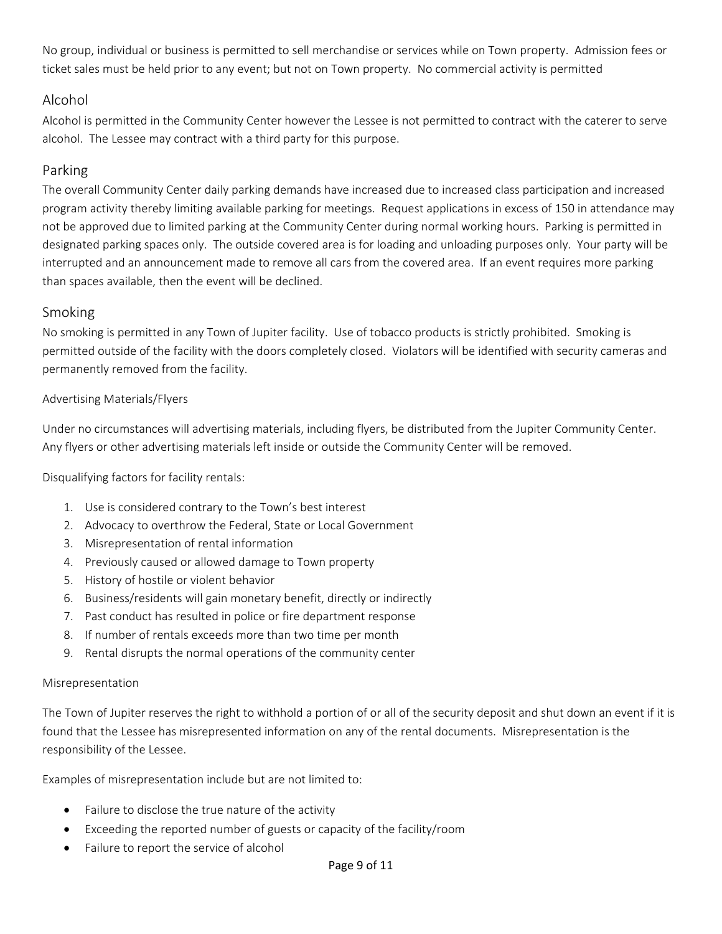No group, individual or business is permitted to sell merchandise or services while on Town property. Admission fees or ticket sales must be held prior to any event; but not on Town property. No commercial activity is permitted

## Alcohol

Alcohol is permitted in the Community Center however the Lessee is not permitted to contract with the caterer to serve alcohol. The Lessee may contract with a third party for this purpose.

## Parking

The overall Community Center daily parking demands have increased due to increased class participation and increased program activity thereby limiting available parking for meetings. Request applications in excess of 150 in attendance may not be approved due to limited parking at the Community Center during normal working hours. Parking is permitted in designated parking spaces only. The outside covered area is for loading and unloading purposes only. Your party will be interrupted and an announcement made to remove all cars from the covered area. If an event requires more parking than spaces available, then the event will be declined.

## Smoking

No smoking is permitted in any Town of Jupiter facility. Use of tobacco products is strictly prohibited. Smoking is permitted outside of the facility with the doors completely closed. Violators will be identified with security cameras and permanently removed from the facility.

## Advertising Materials/Flyers

Under no circumstances will advertising materials, including flyers, be distributed from the Jupiter Community Center. Any flyers or other advertising materials left inside or outside the Community Center will be removed.

Disqualifying factors for facility rentals:

- 1. Use is considered contrary to the Town's best interest
- 2. Advocacy to overthrow the Federal, State or Local Government
- 3. Misrepresentation of rental information
- 4. Previously caused or allowed damage to Town property
- 5. History of hostile or violent behavior
- 6. Business/residents will gain monetary benefit, directly or indirectly
- 7. Past conduct has resulted in police or fire department response
- 8. If number of rentals exceeds more than two time per month
- 9. Rental disrupts the normal operations of the community center

#### Misrepresentation

The Town of Jupiter reserves the right to withhold a portion of or all of the security deposit and shut down an event if it is found that the Lessee has misrepresented information on any of the rental documents. Misrepresentation is the responsibility of the Lessee.

Examples of misrepresentation include but are not limited to:

- Failure to disclose the true nature of the activity
- Exceeding the reported number of guests or capacity of the facility/room
- Failure to report the service of alcohol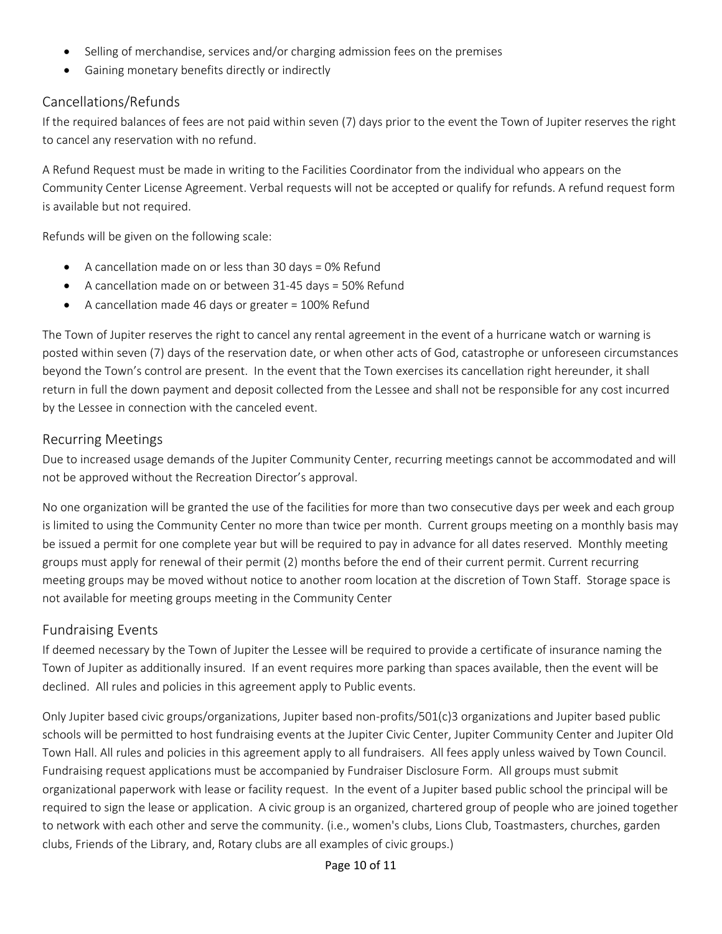- Selling of merchandise, services and/or charging admission fees on the premises
- Gaining monetary benefits directly or indirectly

## Cancellations/Refunds

If the required balances of fees are not paid within seven (7) days prior to the event the Town of Jupiter reserves the right to cancel any reservation with no refund.

A Refund Request must be made in writing to the Facilities Coordinator from the individual who appears on the Community Center License Agreement. Verbal requests will not be accepted or qualify for refunds. A refund request form is available but not required.

Refunds will be given on the following scale:

- A cancellation made on or less than 30 days = 0% Refund
- A cancellation made on or between 31-45 days = 50% Refund
- A cancellation made 46 days or greater = 100% Refund

The Town of Jupiter reserves the right to cancel any rental agreement in the event of a hurricane watch or warning is posted within seven (7) days of the reservation date, or when other acts of God, catastrophe or unforeseen circumstances beyond the Town's control are present. In the event that the Town exercises its cancellation right hereunder, it shall return in full the down payment and deposit collected from the Lessee and shall not be responsible for any cost incurred by the Lessee in connection with the canceled event.

#### Recurring Meetings

Due to increased usage demands of the Jupiter Community Center, recurring meetings cannot be accommodated and will not be approved without the Recreation Director's approval.

No one organization will be granted the use of the facilities for more than two consecutive days per week and each group is limited to using the Community Center no more than twice per month. Current groups meeting on a monthly basis may be issued a permit for one complete year but will be required to pay in advance for all dates reserved. Monthly meeting groups must apply for renewal of their permit (2) months before the end of their current permit. Current recurring meeting groups may be moved without notice to another room location at the discretion of Town Staff. Storage space is not available for meeting groups meeting in the Community Center

## Fundraising Events

If deemed necessary by the Town of Jupiter the Lessee will be required to provide a certificate of insurance naming the Town of Jupiter as additionally insured. If an event requires more parking than spaces available, then the event will be declined. All rules and policies in this agreement apply to Public events.

Only Jupiter based civic groups/organizations, Jupiter based non‐profits/501(c)3 organizations and Jupiter based public schools will be permitted to host fundraising events at the Jupiter Civic Center, Jupiter Community Center and Jupiter Old Town Hall. All rules and policies in this agreement apply to all fundraisers. All fees apply unless waived by Town Council. Fundraising request applications must be accompanied by Fundraiser Disclosure Form. All groups must submit organizational paperwork with lease or facility request. In the event of a Jupiter based public school the principal will be required to sign the lease or application. A civic group is an organized, chartered group of people who are joined together to network with each other and serve the community. (i.e., women's clubs, Lions Club, Toastmasters, churches, garden clubs, Friends of the Library, and, Rotary clubs are all examples of civic groups.)

#### Page 10 of 11